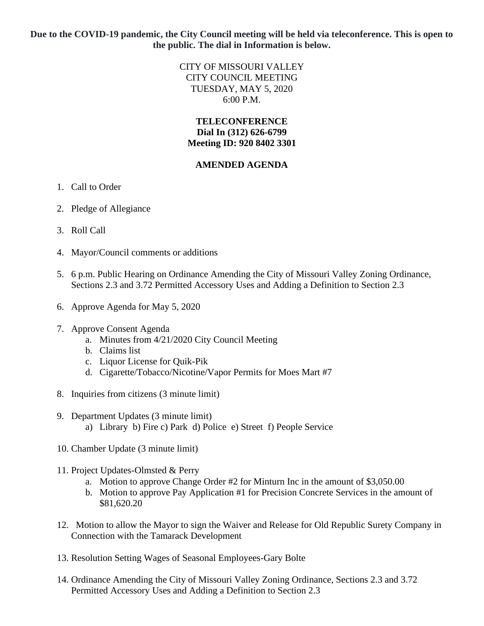**Due to the COVID-19 pandemic, the City Council meeting will be held via teleconference. This is open to the public. The dial in Information is below.**

> CITY OF MISSOURI VALLEY CITY COUNCIL MEETING TUESDAY, MAY 5, 2020 6:00 P.M.

## **TELECONFERENCE Dial In (312) 626-6799 Meeting ID: 920 8402 3301**

## **AMENDED AGENDA**

- 1. Call to Order
- 2. Pledge of Allegiance
- 3. Roll Call
- 4. Mayor/Council comments or additions
- 5. 6 p.m. Public Hearing on Ordinance Amending the City of Missouri Valley Zoning Ordinance, Sections 2.3 and 3.72 Permitted Accessory Uses and Adding a Definition to Section 2.3
- 6. Approve Agenda for May 5, 2020
- 7. Approve Consent Agenda
	- a. Minutes from 4/21/2020 City Council Meeting
	- b. Claims list
	- c. Liquor License for Quik-Pik
	- d. Cigarette/Tobacco/Nicotine/Vapor Permits for Moes Mart #7
- 8. Inquiries from citizens (3 minute limit)
- 9. Department Updates (3 minute limit) a) Library b) Fire c) Park d) Police e) Street f) People Service
- 10. Chamber Update (3 minute limit)
- 11. Project Updates-Olmsted & Perry
	- a. Motion to approve Change Order #2 for Minturn Inc in the amount of \$3,050.00
	- b. Motion to approve Pay Application #1 for Precision Concrete Services in the amount of \$81,620.20
- 12. Motion to allow the Mayor to sign the Waiver and Release for Old Republic Surety Company in Connection with the Tamarack Development
- 13. Resolution Setting Wages of Seasonal Employees-Gary Bolte
- 14. Ordinance Amending the City of Missouri Valley Zoning Ordinance, Sections 2.3 and 3.72 Permitted Accessory Uses and Adding a Definition to Section 2.3